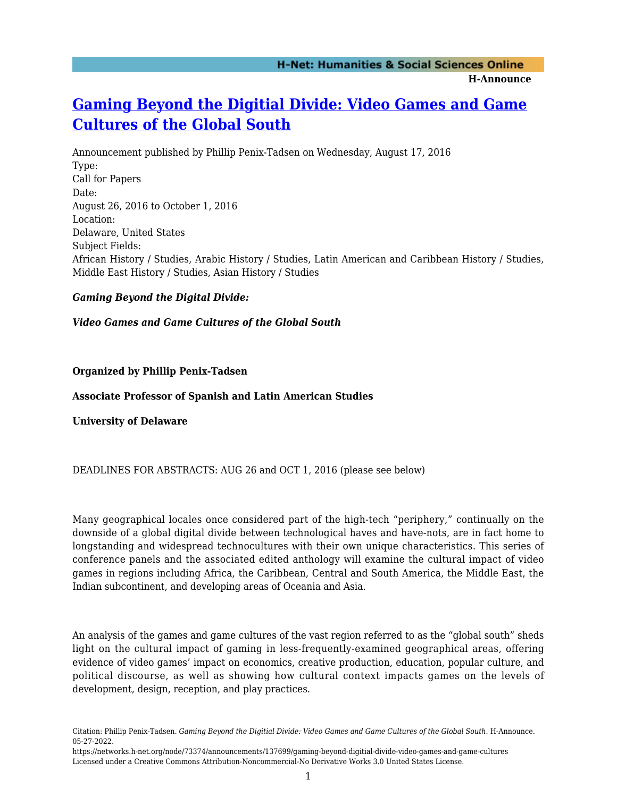# **[Gaming Beyond the Digitial Divide: Video Games and Game](https://networks.h-net.org/node/73374/announcements/137699/gaming-beyond-digitial-divide-video-games-and-game-cultures) [Cultures of the Global South](https://networks.h-net.org/node/73374/announcements/137699/gaming-beyond-digitial-divide-video-games-and-game-cultures)**

Announcement published by Phillip Penix-Tadsen on Wednesday, August 17, 2016 Type: Call for Papers Date: August 26, 2016 to October 1, 2016 Location: Delaware, United States Subject Fields: African History / Studies, Arabic History / Studies, Latin American and Caribbean History / Studies, Middle East History / Studies, Asian History / Studies

#### *Gaming Beyond the Digital Divide:*

*Video Games and Game Cultures of the Global South*

**Organized by Phillip Penix-Tadsen**

**Associate Professor of Spanish and Latin American Studies**

**University of Delaware**

DEADLINES FOR ABSTRACTS: AUG 26 and OCT 1, 2016 (please see below)

Many geographical locales once considered part of the high-tech "periphery," continually on the downside of a global digital divide between technological haves and have-nots, are in fact home to longstanding and widespread technocultures with their own unique characteristics. This series of conference panels and the associated edited anthology will examine the cultural impact of video games in regions including Africa, the Caribbean, Central and South America, the Middle East, the Indian subcontinent, and developing areas of Oceania and Asia.

An analysis of the games and game cultures of the vast region referred to as the "global south" sheds light on the cultural impact of gaming in less-frequently-examined geographical areas, offering evidence of video games' impact on economics, creative production, education, popular culture, and political discourse, as well as showing how cultural context impacts games on the levels of development, design, reception, and play practices.

Citation: Phillip Penix-Tadsen. *Gaming Beyond the Digitial Divide: Video Games and Game Cultures of the Global South*. H-Announce. 05-27-2022.

https://networks.h-net.org/node/73374/announcements/137699/gaming-beyond-digitial-divide-video-games-and-game-cultures Licensed under a Creative Commons Attribution-Noncommercial-No Derivative Works 3.0 United States License.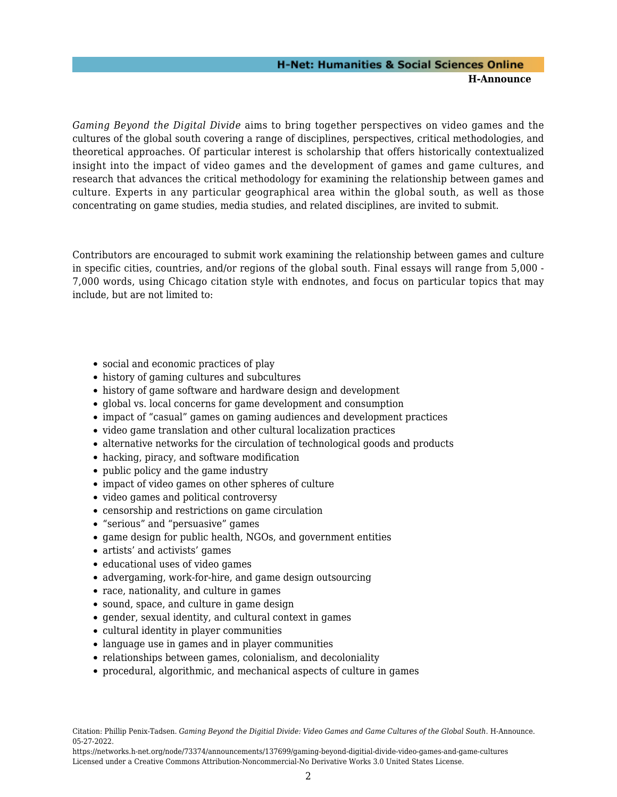## **H-Net: Humanities & Social Sciences Online H-Announce**

*Gaming Beyond the Digital Divide* aims to bring together perspectives on video games and the cultures of the global south covering a range of disciplines, perspectives, critical methodologies, and theoretical approaches. Of particular interest is scholarship that offers historically contextualized insight into the impact of video games and the development of games and game cultures, and research that advances the critical methodology for examining the relationship between games and culture. Experts in any particular geographical area within the global south, as well as those concentrating on game studies, media studies, and related disciplines, are invited to submit.

Contributors are encouraged to submit work examining the relationship between games and culture in specific cities, countries, and/or regions of the global south. Final essays will range from 5,000 - 7,000 words, using Chicago citation style with endnotes, and focus on particular topics that may include, but are not limited to:

- social and economic practices of play
- history of gaming cultures and subcultures
- history of game software and hardware design and development
- global vs. local concerns for game development and consumption
- impact of "casual" games on gaming audiences and development practices
- video game translation and other cultural localization practices
- alternative networks for the circulation of technological goods and products
- hacking, piracy, and software modification
- public policy and the game industry
- impact of video games on other spheres of culture
- video games and political controversy
- censorship and restrictions on game circulation
- "serious" and "persuasive" games
- game design for public health, NGOs, and government entities
- artists' and activists' games
- educational uses of video games
- advergaming, work-for-hire, and game design outsourcing
- race, nationality, and culture in games
- sound, space, and culture in game design
- gender, sexual identity, and cultural context in games
- cultural identity in player communities
- language use in games and in player communities
- relationships between games, colonialism, and decoloniality
- procedural, algorithmic, and mechanical aspects of culture in games

Citation: Phillip Penix-Tadsen. *Gaming Beyond the Digitial Divide: Video Games and Game Cultures of the Global South*. H-Announce. 05-27-2022.

https://networks.h-net.org/node/73374/announcements/137699/gaming-beyond-digitial-divide-video-games-and-game-cultures Licensed under a Creative Commons Attribution-Noncommercial-No Derivative Works 3.0 United States License.